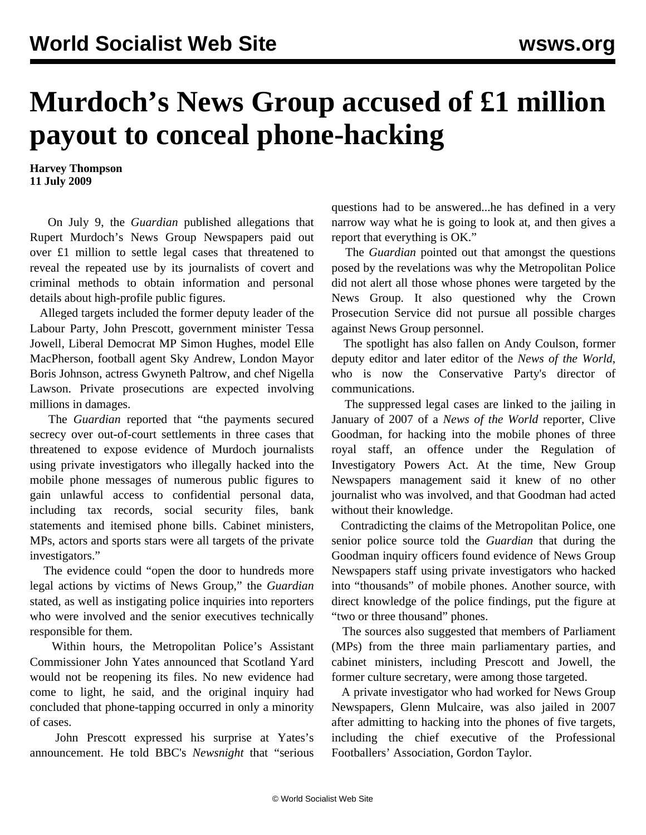## **Murdoch's News Group accused of £1 million payout to conceal phone-hacking**

**Harvey Thompson 11 July 2009**

 On July 9, the *Guardian* published allegations that Rupert Murdoch's News Group Newspapers paid out over £1 million to settle legal cases that threatened to reveal the repeated use by its journalists of covert and criminal methods to obtain information and personal details about high-profile public figures.

 Alleged targets included the former deputy leader of the Labour Party, John Prescott, government minister Tessa Jowell, Liberal Democrat MP Simon Hughes, model Elle MacPherson, football agent Sky Andrew, London Mayor Boris Johnson, actress Gwyneth Paltrow, and chef Nigella Lawson. Private prosecutions are expected involving millions in damages.

 The *Guardian* reported that "the payments secured secrecy over out-of-court settlements in three cases that threatened to expose evidence of Murdoch journalists using private investigators who illegally hacked into the mobile phone messages of numerous public figures to gain unlawful access to confidential personal data, including tax records, social security files, bank statements and itemised phone bills. Cabinet ministers, MPs, actors and sports stars were all targets of the private investigators."

 The evidence could "open the door to hundreds more legal actions by victims of News Group," the *Guardian* stated, as well as instigating police inquiries into reporters who were involved and the senior executives technically responsible for them.

 Within hours, the Metropolitan Police's Assistant Commissioner John Yates announced that Scotland Yard would not be reopening its files. No new evidence had come to light, he said, and the original inquiry had concluded that phone-tapping occurred in only a minority of cases.

 John Prescott expressed his surprise at Yates's announcement. He told BBC's *Newsnight* that "serious

questions had to be answered...he has defined in a very narrow way what he is going to look at, and then gives a report that everything is OK."

 The *Guardian* pointed out that amongst the questions posed by the revelations was why the Metropolitan Police did not alert all those whose phones were targeted by the News Group. It also questioned why the Crown Prosecution Service did not pursue all possible charges against News Group personnel.

 The spotlight has also fallen on Andy Coulson, former deputy editor and later editor of the *News of the World*, who is now the Conservative Party's director of communications.

 The suppressed legal cases are linked to the jailing in January of 2007 of a *News of the World* reporter, Clive Goodman, for hacking into the mobile phones of three royal staff, an offence under the Regulation of Investigatory Powers Act. At the time, New Group Newspapers management said it knew of no other journalist who was involved, and that Goodman had acted without their knowledge.

 Contradicting the claims of the Metropolitan Police, one senior police source told the *Guardian* that during the Goodman inquiry officers found evidence of News Group Newspapers staff using private investigators who hacked into "thousands" of mobile phones. Another source, with direct knowledge of the police findings, put the figure at "two or three thousand" phones.

 The sources also suggested that members of Parliament (MPs) from the three main parliamentary parties, and cabinet ministers, including Prescott and Jowell, the former culture secretary, were among those targeted.

 A private investigator who had worked for News Group Newspapers, Glenn Mulcaire, was also jailed in 2007 after admitting to hacking into the phones of five targets, including the chief executive of the Professional Footballers' Association, Gordon Taylor.